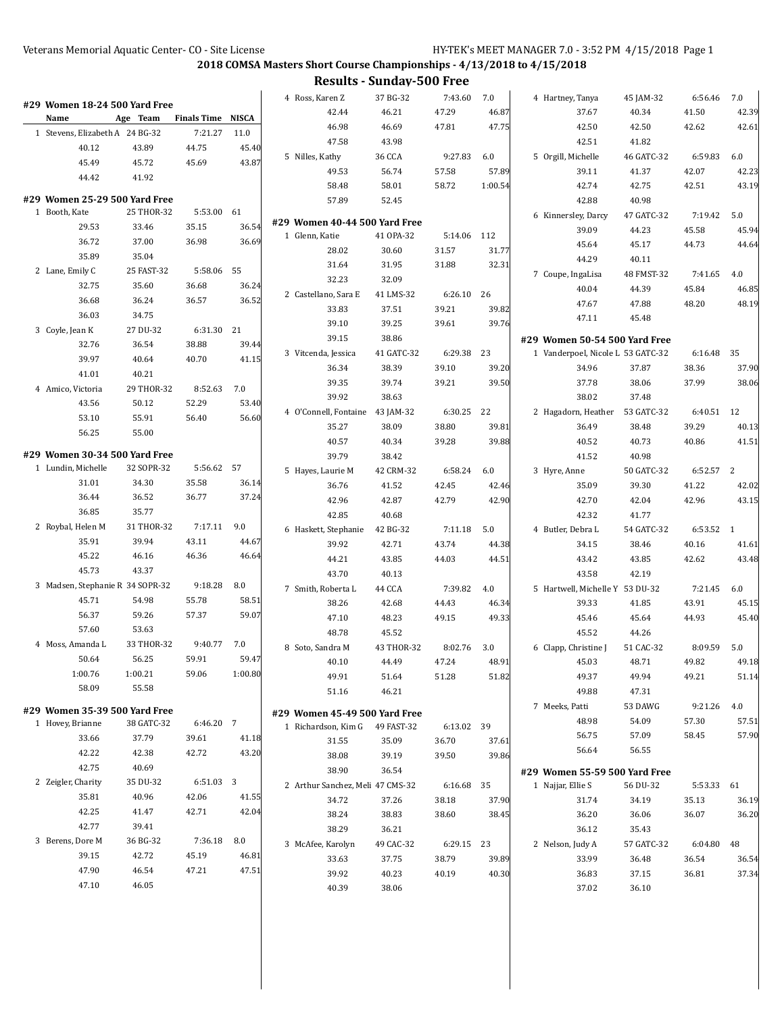**2018 COMSA Masters Short Course Championships - 4/13/2018 to 4/15/2018**

**Results - Sunday-500 Free**

|                                                     |            |                          |         | 4 Ross, Karen Z                                 | 37 BG-32       | 7:43.60     | 7.0     | 4 Hartney, Tanya                  | 45 JAM-32  | 6:56.46    | 7.0   |
|-----------------------------------------------------|------------|--------------------------|---------|-------------------------------------------------|----------------|-------------|---------|-----------------------------------|------------|------------|-------|
| #29 Women 18-24 500 Yard Free<br>Name               | Age Team   | <b>Finals Time NISCA</b> |         | 42.44                                           | 46.21          | 47.29       | 46.87   | 37.67                             | 40.34      | 41.50      | 42.39 |
| 1 Stevens, Elizabeth A 24 BG-32                     |            | 7:21.27                  | 11.0    | 46.98                                           | 46.69          | 47.81       | 47.75   | 42.50                             | 42.50      | 42.62      | 42.61 |
| 40.12                                               | 43.89      | 44.75                    | 45.40   | 47.58                                           | 43.98          |             |         | 42.51                             | 41.82      |            |       |
| 45.49                                               | 45.72      | 45.69                    | 43.87   | 5 Nilles, Kathy                                 | 36 CCA         | 9:27.83     | 6.0     | 5 Orgill, Michelle                | 46 GATC-32 | 6:59.83    | 6.0   |
| 44.42                                               | 41.92      |                          |         | 49.53                                           | 56.74          | 57.58       | 57.89   | 39.11                             | 41.37      | 42.07      | 42.23 |
|                                                     |            |                          |         | 58.48                                           | 58.01          | 58.72       | 1:00.54 | 42.74                             | 42.75      | 42.51      | 43.19 |
| #29 Women 25-29 500 Yard Free                       |            |                          |         | 57.89                                           | 52.45          |             |         | 42.88                             | 40.98      |            |       |
| 1 Booth, Kate                                       | 25 THOR-32 | 5:53.00                  | 61      |                                                 |                |             |         | 6 Kinnersley, Darcy               | 47 GATC-32 | 7:19.42    | 5.0   |
| 29.53                                               | 33.46      | 35.15                    | 36.54   | #29 Women 40-44 500 Yard Free<br>1 Glenn, Katie | 41 OPA-32      | 5:14.06 112 |         | 39.09                             | 44.23      | 45.58      | 45.94 |
| 36.72                                               | 37.00      | 36.98                    | 36.69   | 28.02                                           | 30.60          | 31.57       | 31.77   | 45.64                             | 45.17      | 44.73      | 44.64 |
| 35.89                                               | 35.04      |                          |         |                                                 |                |             |         | 44.29                             | 40.11      |            |       |
| 2 Lane, Emily C                                     | 25 FAST-32 | 5:58.06                  | 55      | 31.64                                           | 31.95<br>32.09 | 31.88       | 32.31   | 7 Coupe, IngaLisa                 | 48 FMST-32 | 7:41.65    | 4.0   |
| 32.75                                               | 35.60      | 36.68                    | 36.24   | 32.23                                           |                |             |         | 40.04                             | 44.39      | 45.84      | 46.85 |
| 36.68                                               | 36.24      | 36.57                    | 36.52   | 2 Castellano, Sara E                            | 41 LMS-32      | 6:26.10     | 26      | 47.67                             | 47.88      | 48.20      | 48.19 |
| 36.03                                               | 34.75      |                          |         | 33.83                                           | 37.51          | 39.21       | 39.82   | 47.11                             | 45.48      |            |       |
| 3 Coyle, Jean K                                     | 27 DU-32   | 6:31.30                  | 21      | 39.10                                           | 39.25          | 39.61       | 39.76   |                                   |            |            |       |
| 32.76                                               | 36.54      | 38.88                    | 39.44   | 39.15                                           | 38.86          |             |         | #29 Women 50-54 500 Yard Free     |            |            |       |
| 39.97                                               | 40.64      | 40.70                    | 41.15   | 3 Vitcenda, Jessica                             | 41 GATC-32     | 6:29.38     | 23      | 1 Vanderpoel, Nicole L 53 GATC-32 |            | 6:16.48    | 35    |
| 41.01                                               | 40.21      |                          |         | 36.34                                           | 38.39          | 39.10       | 39.20   | 34.96                             | 37.87      | 38.36      | 37.90 |
| 4 Amico, Victoria                                   | 29 THOR-32 | 8:52.63                  | 7.0     | 39.35                                           | 39.74          | 39.21       | 39.50   | 37.78                             | 38.06      | 37.99      | 38.06 |
| 43.56                                               | 50.12      | 52.29                    | 53.40   | 39.92                                           | 38.63          |             |         | 38.02                             | 37.48      |            |       |
| 53.10                                               | 55.91      | 56.40                    | 56.60   | 4 O'Connell, Fontaine 43 JAM-32                 |                | 6:30.25 22  |         | 2 Hagadorn, Heather 53 GATC-32    |            | 6:40.51 12 |       |
| 56.25                                               | 55.00      |                          |         | 35.27                                           | 38.09          | 38.80       | 39.81   | 36.49                             | 38.48      | 39.29      | 40.13 |
|                                                     |            |                          |         | 40.57                                           | 40.34          | 39.28       | 39.88   | 40.52                             | 40.73      | 40.86      | 41.51 |
| #29 Women 30-34 500 Yard Free<br>1 Lundin, Michelle | 32 SOPR-32 | 5:56.62 57               |         | 39.79                                           | 38.42          |             |         | 41.52                             | 40.98      |            |       |
| 31.01                                               | 34.30      | 35.58                    | 36.14   | 5 Hayes, Laurie M                               | 42 CRM-32      | 6:58.24     | 6.0     | 3 Hyre, Anne                      | 50 GATC-32 | 6:52.57 2  |       |
| 36.44                                               | 36.52      | 36.77                    | 37.24   | 36.76                                           | 41.52          | 42.45       | 42.46   | 35.09                             | 39.30      | 41.22      | 42.02 |
| 36.85                                               | 35.77      |                          |         | 42.96                                           | 42.87          | 42.79       | 42.90   | 42.70                             | 42.04      | 42.96      | 43.15 |
| 2 Roybal, Helen M                                   | 31 THOR-32 | 7:17.11                  | 9.0     | 42.85                                           | 40.68          |             |         | 42.32                             | 41.77      |            |       |
|                                                     |            |                          |         | 6 Haskett, Stephanie                            | 42 BG-32       | 7:11.18     | 5.0     | 4 Butler, Debra L                 | 54 GATC-32 | 6:53.52 1  |       |
| 35.91                                               | 39.94      | 43.11                    | 44.67   | 39.92                                           | 42.71          | 43.74       | 44.38   | 34.15                             | 38.46      | 40.16      | 41.61 |
| 45.22                                               | 46.16      | 46.36                    | 46.64   | 44.21                                           | 43.85          | 44.03       | 44.51   | 43.42                             | 43.85      | 42.62      | 43.48 |
| 45.73                                               | 43.37      |                          |         | 43.70                                           | 40.13          |             |         | 43.58                             | 42.19      |            |       |
| 3 Madsen, Stephanie R 34 SOPR-32                    |            | 9:18.28                  | 8.0     | 7 Smith, Roberta L                              | 44 CCA         | 7:39.82     | 4.0     | 5 Hartwell, Michelle Y 53 DU-32   |            | 7:21.45    | 6.0   |
| 45.71                                               | 54.98      | 55.78                    | 58.51   | 38.26                                           | 42.68          | 44.43       | 46.34   | 39.33                             | 41.85      | 43.91      | 45.15 |
| 56.37                                               | 59.26      | 57.37                    | 59.07   | 47.10                                           | 48.23          | 49.15       | 49.33   | 45.46                             | 45.64      | 44.93      | 45.40 |
| 57.60                                               | 53.63      |                          |         | 48.78                                           | 45.52          |             |         | 45.52                             | 44.26      |            |       |
| 4 Moss, Amanda L                                    | 33 THOR-32 | 9:40.77                  | 7.0     | 8 Soto, Sandra M                                | 43 THOR-32     | 8:02.76     | 3.0     | 6 Clapp, Christine J              | 51 CAC-32  | 8:09.59    | 5.0   |
| 50.64                                               | 56.25      | 59.91                    | 59.47   | 40.10                                           | 44.49          | 47.24       | 48.91   | 45.03                             | 48.71      | 49.82      | 49.18 |
| 1:00.76                                             | 1:00.21    | 59.06                    | 1:00.80 | 49.91                                           | 51.64          | 51.28       | 51.82   | 49.37                             | 49.94      | 49.21      | 51.14 |
| 58.09                                               | 55.58      |                          |         | 51.16                                           | 46.21          |             |         | 49.88                             | 47.31      |            |       |
| #29 Women 35-39 500 Yard Free                       |            |                          |         | #29 Women 45-49 500 Yard Free                   |                |             |         | 7 Meeks, Patti                    | 53 DAWG    | 9:21.26    | 4.0   |
| 1 Hovey, Brianne                                    | 38 GATC-32 | 6:46.20 7                |         | 1 Richardson, Kim G                             | 49 FAST-32     | 6:13.02 39  |         | 48.98                             | 54.09      | 57.30      | 57.51 |
| 33.66                                               | 37.79      | 39.61                    | 41.18   | 31.55                                           | 35.09          | 36.70       | 37.61   | 56.75                             | 57.09      | 58.45      | 57.90 |
| 42.22                                               | 42.38      | 42.72                    | 43.20   | 38.08                                           | 39.19          | 39.50       | 39.86   | 56.64                             | 56.55      |            |       |
| 42.75                                               | 40.69      |                          |         | 38.90                                           | 36.54          |             |         | #29 Women 55-59 500 Yard Free     |            |            |       |
| 2 Zeigler, Charity                                  | 35 DU-32   | 6:51.03 3                |         | 2 Arthur Sanchez, Meli 47 CMS-32                |                | 6:16.68     | 35      | 1 Najjar, Ellie S                 | 56 DU-32   | 5:53.33 61 |       |
| 35.81                                               | 40.96      | 42.06                    | 41.55   | 34.72                                           | 37.26          | 38.18       | 37.90   | 31.74                             | 34.19      | 35.13      | 36.19 |
| 42.25                                               | 41.47      | 42.71                    | 42.04   | 38.24                                           | 38.83          | 38.60       | 38.45   | 36.20                             | 36.06      | 36.07      | 36.20 |
| 42.77                                               | 39.41      |                          |         | 38.29                                           | 36.21          |             |         | 36.12                             | 35.43      |            |       |
| 3 Berens, Dore M                                    | 36 BG-32   | 7:36.18                  | 8.0     | 3 McAfee, Karolyn                               | 49 CAC-32      | 6:29.15 23  |         | 2 Nelson, Judy A                  | 57 GATC-32 | 6:04.80    | 48    |
| 39.15                                               | 42.72      | 45.19                    | 46.81   | 33.63                                           | 37.75          | 38.79       | 39.89   | 33.99                             | 36.48      | 36.54      | 36.54 |
| 47.90                                               | 46.54      | 47.21                    | 47.51   | 39.92                                           | 40.23          | 40.19       | 40.30   | 36.83                             | 37.15      | 36.81      | 37.34 |
| 47.10                                               | 46.05      |                          |         | 40.39                                           | 38.06          |             |         | 37.02                             | 36.10      |            |       |
|                                                     |            |                          |         |                                                 |                |             |         |                                   |            |            |       |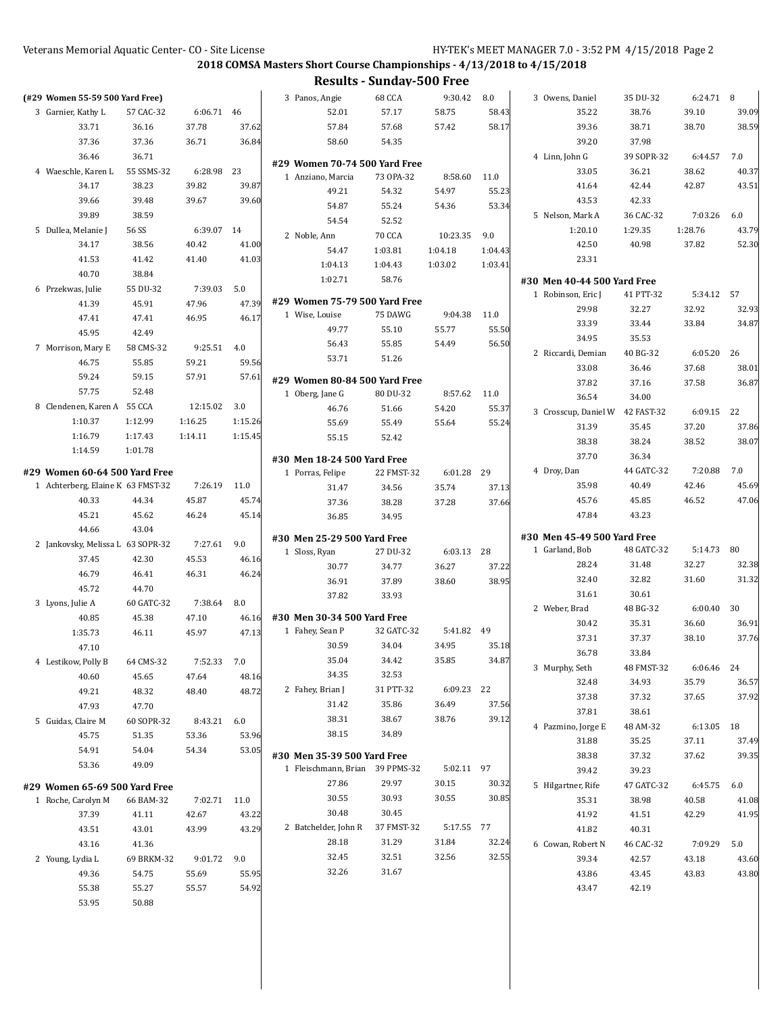**2018 COMSA Masters Short Course Championships - 4/13/2018 to 4/15/2018**

## **Results - Sunday-500 Free**

| (#29 Women 55-59 500 Yard Free)                                    |            |            |                | 3 Panos, Angie                                     | 68 CCA        | 9:30.42    | 8.0     | 3 Owens, Daniel             | 35 DU-32   | 6:24.71 8  |       |
|--------------------------------------------------------------------|------------|------------|----------------|----------------------------------------------------|---------------|------------|---------|-----------------------------|------------|------------|-------|
| 3 Garnier, Kathy L                                                 | 57 CAC-32  | 6:06.71 46 |                | 52.01                                              | 57.17         | 58.75      | 58.43   | 35.22                       | 38.76      | 39.10      | 39.09 |
| 33.71                                                              | 36.16      | 37.78      | 37.62          | 57.84                                              | 57.68         | 57.42      | 58.17   | 39.36                       | 38.71      | 38.70      | 38.59 |
| 37.36                                                              | 37.36      | 36.71      | 36.84          | 58.60                                              | 54.35         |            |         | 39.20                       | 37.98      |            |       |
| 36.46                                                              | 36.71      |            |                |                                                    |               |            |         | 4 Linn, John G              | 39 SOPR-32 | 6:44.57    | 7.0   |
| 4 Waeschle, Karen L                                                | 55 SSMS-32 | 6:28.98    | 23             | #29 Women 70-74 500 Yard Free<br>1 Anziano, Marcia | 73 OPA-32     | 8:58.60    | 11.0    | 33.05                       | 36.21      | 38.62      | 40.37 |
| 34.17                                                              | 38.23      | 39.82      | 39.87          | 49.21                                              | 54.32         | 54.97      | 55.23   | 41.64                       | 42.44      | 42.87      | 43.51 |
| 39.66                                                              | 39.48      | 39.67      | 39.60          | 54.87                                              | 55.24         | 54.36      | 53.34   | 43.53                       | 42.33      |            |       |
| 39.89                                                              | 38.59      |            |                | 54.54                                              | 52.52         |            |         | 5 Nelson, Mark A            | 36 CAC-32  | 7:03.26    | 6.0   |
| 5 Dullea, Melanie J                                                | 56 SS      | 6:39.07 14 |                | 2 Noble, Ann                                       | <b>70 CCA</b> | 10:23.35   | 9.0     | 1:20.10                     | 1:29.35    | 1:28.76    | 43.79 |
| 34.17                                                              | 38.56      | 40.42      | 41.00          | 54.47                                              | 1:03.81       | 1:04.18    | 1:04.43 | 42.50                       | 40.98      | 37.82      | 52.30 |
| 41.53                                                              | 41.42      | 41.40      | 41.03          | 1:04.13                                            | 1:04.43       | 1:03.02    | 1:03.41 | 23.31                       |            |            |       |
| 40.70                                                              | 38.84      |            |                | 1:02.71                                            | 58.76         |            |         | #30 Men 40-44 500 Yard Free |            |            |       |
| 6 Przekwas, Julie                                                  | 55 DU-32   | 7:39.03    | 5.0            |                                                    |               |            |         | 1 Robinson, Eric J          | 41 PTT-32  | 5:34.12 57 |       |
| 41.39                                                              | 45.91      | 47.96      | 47.39          | #29 Women 75-79 500 Yard Free                      |               |            |         | 29.98                       | 32.27      | 32.92      | 32.93 |
| 47.41                                                              | 47.41      | 46.95      | 46.17          | 1 Wise, Louise                                     | 75 DAWG       | 9:04.38    | 11.0    | 33.39                       | 33.44      | 33.84      | 34.87 |
| 45.95                                                              | 42.49      |            |                | 49.77                                              | 55.10         | 55.77      | 55.50   | 34.95                       | 35.53      |            |       |
| 7 Morrison, Mary E                                                 | 58 CMS-32  | 9:25.51    | 4.0            | 56.43                                              | 55.85         | 54.49      | 56.50   | 2 Riccardi, Demian          | 40 BG-32   | 6:05.20    | 26    |
| 46.75                                                              | 55.85      | 59.21      | 59.56          | 53.71                                              | 51.26         |            |         | 33.08                       | 36.46      | 37.68      | 38.01 |
| 59.24                                                              | 59.15      | 57.91      | 57.61          | #29 Women 80-84 500 Yard Free                      |               |            |         | 37.82                       | 37.16      | 37.58      | 36.87 |
| 57.75                                                              | 52.48      |            |                | 1 Oberg, Jane G                                    | 80 DU-32      | 8:57.62    | 11.0    | 36.54                       | 34.00      |            |       |
| 8 Clendenen, Karen A 55 CCA                                        |            | 12:15.02   | 3.0            | 46.76                                              | 51.66         | 54.20      | 55.37   | 3 Crosscup, Daniel W        | 42 FAST-32 | 6:09.15    | 22    |
| 1:10.37                                                            | 1:12.99    | 1:16.25    | 1:15.26        | 55.69                                              | 55.49         | 55.64      | 55.24   | 31.39                       | 35.45      | 37.20      | 37.86 |
| 1:16.79                                                            | 1:17.43    | 1:14.11    | 1:15.45        | 55.15                                              | 52.42         |            |         | 38.38                       | 38.24      | 38.52      | 38.07 |
| 1:14.59                                                            | 1:01.78    |            |                |                                                    |               |            |         | 37.70                       | 36.34      |            |       |
|                                                                    |            |            |                | #30 Men 18-24 500 Yard Free                        |               |            |         | 4 Droy, Dan                 | 44 GATC-32 | 7:20.88    | 7.0   |
| #29 Women 60-64 500 Yard Free<br>1 Achterberg, Elaine K 63 FMST-32 |            | 7:26.19    | 11.0           | 1 Porras, Felipe                                   | 22 FMST-32    | 6:01.28 29 |         | 35.98                       | 40.49      | 42.46      | 45.69 |
| 40.33                                                              | 44.34      | 45.87      | 45.74          | 31.47                                              | 34.56         | 35.74      | 37.13   | 45.76                       | 45.85      | 46.52      | 47.06 |
| 45.21                                                              | 45.62      | 46.24      | 45.14          | 37.36                                              | 38.28         | 37.28      | 37.66   | 47.84                       | 43.23      |            |       |
| 44.66                                                              | 43.04      |            |                | 36.85                                              | 34.95         |            |         |                             |            |            |       |
| 2 Jankovsky, Melissa L 63 SOPR-32                                  |            | 7:27.61    | 9.0            | #30 Men 25-29 500 Yard Free                        |               |            |         | #30 Men 45-49 500 Yard Free |            |            |       |
| 37.45                                                              | 42.30      | 45.53      | 46.16          | 1 Sloss, Ryan                                      | 27 DU-32      | 6:03.13    | 28      | 1 Garland, Bob              | 48 GATC-32 | 5:14.73    | 80    |
| 46.79                                                              | 46.41      | 46.31      | 46.24          | 30.77                                              | 34.77         | 36.27      | 37.22   | 28.24                       | 31.48      | 32.27      | 32.38 |
| 45.72                                                              | 44.70      |            |                | 36.91                                              | 37.89         | 38.60      | 38.95   | 32.40                       | 32.82      | 31.60      | 31.32 |
| 3 Lyons, Julie A                                                   | 60 GATC-32 | 7:38.64    | 8.0            | 37.82                                              | 33.93         |            |         | 31.61                       | 30.61      |            |       |
| 40.85                                                              | 45.38      | 47.10      | 46.16          | #30 Men 30-34 500 Yard Free                        |               |            |         | 2 Weber, Brad               | 48 BG-32   | 6:00.40    | 30    |
| 1:35.73                                                            | 46.11      | 45.97      | 47.13          | 1 Fahey, Sean P                                    | 32 GATC-32    | 5:41.82    | 49      | 30.42                       | 35.31      | 36.60      | 36.91 |
| 47.10                                                              |            |            |                | 30.59                                              | 34.04         | 34.95      | 35.18   | 37.31                       | 37.37      | 38.10      | 37.76 |
|                                                                    |            |            | 7.0            | 35.04                                              | 34.42         | 35.85      | 34.87   | 36.78                       | 33.84      |            |       |
| 4 Lestikow, Polly B                                                | 64 CMS-32  | 7:52.33    |                | 34.35                                              | 32.53         |            |         | 3 Murphy, Seth              | 48 FMST-32 | 6:06.46    | 24    |
| 40.60                                                              | 45.65      | 47.64      | 48.16<br>48.72 | 2 Fahey, Brian J                                   | 31 PTT-32     | 6:09.23 22 |         | 32.48                       | 34.93      | 35.79      | 36.57 |
| 49.21                                                              | 48.32      | 48.40      |                | 31.42                                              | 35.86         | 36.49      | 37.56   | 37.38                       | 37.32      | 37.65      | 37.92 |
| 47.93                                                              | 47.70      |            |                | 38.31                                              | 38.67         | 38.76      | 39.12   | 37.81                       | 38.61      |            |       |
| 5 Guidas, Claire M                                                 | 60 SOPR-32 | 8:43.21    | $6.0\,$        | 38.15                                              | 34.89         |            |         | 4 Pazmino, Jorge E          | 48 AM-32   | 6:13.05 18 |       |
| 45.75                                                              | 51.35      | 53.36      | 53.96          |                                                    |               |            |         | 31.88                       | 35.25      | 37.11      | 37.49 |
| 54.91                                                              | 54.04      | 54.34      | 53.05          | #30 Men 35-39 500 Yard Free                        |               |            |         | 38.38                       | 37.32      | 37.62      | 39.35 |
| 53.36                                                              | 49.09      |            |                | 1 Fleischmann, Brian                               | 39 PPMS-32    | 5:02.11 97 |         | 39.42                       | 39.23      |            |       |
| #29 Women 65-69 500 Yard Free                                      |            |            |                | 27.86                                              | 29.97         | 30.15      | 30.32   | 5 Hilgartner, Rife          | 47 GATC-32 | 6:45.75    | 6.0   |
| 1 Roche, Carolyn M                                                 | 66 BAM-32  | 7:02.71    | 11.0           | 30.55                                              | 30.93         | 30.55      | 30.85   | 35.31                       | 38.98      | 40.58      | 41.08 |
| 37.39                                                              | 41.11      | 42.67      | 43.22          | 30.48                                              | 30.45         |            |         | 41.92                       | 41.51      | 42.29      | 41.95 |
| 43.51                                                              | 43.01      | 43.99      | 43.29          | 2 Batchelder, John R                               | 37 FMST-32    | 5:17.55 77 |         | 41.82                       | 40.31      |            |       |
| 43.16                                                              | 41.36      |            |                | 28.18                                              | 31.29         | 31.84      | 32.24   | 6 Cowan, Robert N           | 46 CAC-32  | 7:09.29    | 5.0   |
| 2 Young, Lydia L                                                   | 69 BRKM-32 | 9:01.72    | 9.0            | 32.45                                              | 32.51         | 32.56      | 32.55   | 39.34                       | 42.57      | 43.18      | 43.60 |
| 49.36                                                              | 54.75      | 55.69      | 55.95          | 32.26                                              | 31.67         |            |         | 43.86                       | 43.45      | 43.83      | 43.80 |
| 55.38                                                              | 55.27      | 55.57      | 54.92          |                                                    |               |            |         | 43.47                       | 42.19      |            |       |
| 53.95                                                              | 50.88      |            |                |                                                    |               |            |         |                             |            |            |       |
|                                                                    |            |            |                |                                                    |               |            |         |                             |            |            |       |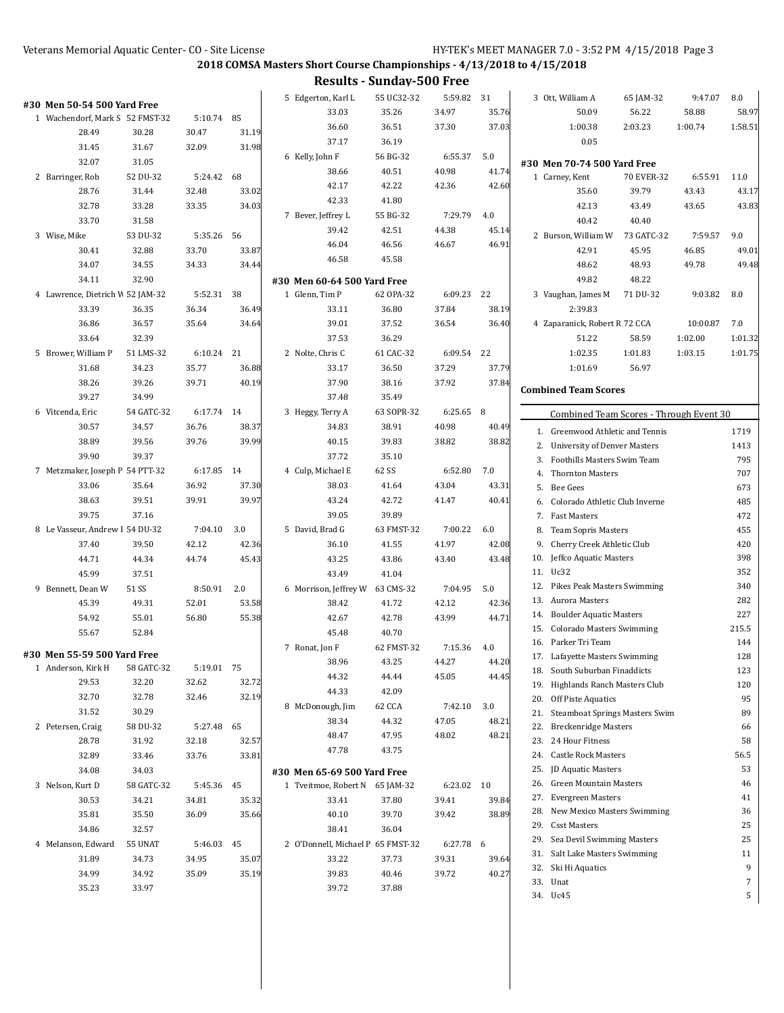**2018 COMSA Masters Short Course Championships - 4/13/2018 to 4/15/2018**

**Results - Sunday-500 Free**

| #30 Men 50-54 500 Yard Free<br>1 Wachendorf, Mark S 52 FMST-32 |            | 5:10.74 85 |       | 5 Edgerton, Karl L<br>33.03       | 55 UC32-32<br>35.26 | 5:59.82<br>34.97 | 31<br>35.76 | 3 Ott, William A<br>50.09                                        | 65 JAM-32<br>56.22 | 9:47.07<br>58.88 | 8.0<br>58.97 |
|----------------------------------------------------------------|------------|------------|-------|-----------------------------------|---------------------|------------------|-------------|------------------------------------------------------------------|--------------------|------------------|--------------|
| 28.49                                                          | 30.28      | 30.47      | 31.19 | 36.60<br>37.17                    | 36.51<br>36.19      | 37.30            | 37.03       | 1:00.38<br>0.05                                                  | 2:03.23            | 1:00.74          | 1:58.51      |
| 31.45                                                          | 31.67      | 32.09      | 31.98 | 6 Kelly, John F                   | 56 BG-32            | 6:55.37          | 5.0         |                                                                  |                    |                  |              |
| 32.07                                                          | 31.05      |            |       | 38.66                             | 40.51               | 40.98            | 41.74       | #30 Men 70-74 500 Yard Free                                      |                    |                  |              |
| 2 Barringer, Rob                                               | 52 DU-32   | 5:24.42    | 68    | 42.17                             | 42.22               | 42.36            | 42.60       | 1 Carney, Kent                                                   | 70 EVER-32         | 6:55.91          | 11.0         |
| 28.76                                                          | 31.44      | 32.48      | 33.02 | 42.33                             | 41.80               |                  |             | 35.60                                                            | 39.79              | 43.43            | 43.17        |
| 32.78                                                          | 33.28      | 33.35      | 34.03 | 7 Bever, Jeffrey L                | 55 BG-32            | 7.29.79          | 4.0         | 42.13                                                            | 43.49              | 43.65            | 43.83        |
| 33.70                                                          | 31.58      |            |       | 39.42                             | 42.51               |                  |             | 40.42                                                            | 40.40              |                  |              |
| 3 Wise, Mike                                                   | 53 DU-32   | 5:35.26    | 56    |                                   |                     | 44.38            | 45.14       | 2 Burson, William W                                              | 73 GATC-32         | 7:59.57          | 9.0          |
| 30.41                                                          | 32.88      | 33.70      | 33.87 | 46.04                             | 46.56               | 46.67            | 46.91       | 42.91                                                            | 45.95              | 46.85            | 49.01        |
| 34.07                                                          | 34.55      | 34.33      | 34.44 | 46.58                             | 45.58               |                  |             | 48.62                                                            | 48.93              | 49.78            | 49.48        |
| 34.11                                                          | 32.90      |            |       | #30 Men 60-64 500 Yard Free       |                     |                  |             | 49.82                                                            | 48.22              |                  |              |
| 4 Lawrence, Dietrich V 52 JAM-32                               |            | 5:52.31    | 38    | 1 Glenn, Tim P                    | 62 OPA-32           | 6:09.23          | 22          | 3 Vaughan, James M                                               | 71 DU-32           | 9:03.82          | 8.0          |
| 33.39                                                          | 36.35      | 36.34      | 36.49 | 33.11                             | 36.80               | 37.84            | 38.19       | 2:39.83                                                          |                    |                  |              |
| 36.86                                                          | 36.57      | 35.64      | 34.64 | 39.01                             | 37.52               | 36.54            | 36.40       | 4 Zaparanick, Robert R 72 CCA                                    |                    | 10:00.87         | 7.0          |
| 33.64                                                          | 32.39      |            |       | 37.53                             | 36.29               |                  |             | 51.22                                                            | 58.59              | 1:02.00          | 1:01.32      |
| 5 Brower, William P                                            | 51 LMS-32  | 6:10.24 21 |       | 2 Nolte, Chris C                  | 61 CAC-32           | 6:09.54          | 22          | 1:02.35                                                          | 1:01.83            | 1:03.15          | 1:01.75      |
| 31.68                                                          | 34.23      | 35.77      | 36.88 | 33.17                             | 36.50               | 37.29            | 37.79       | 1:01.69                                                          | 56.97              |                  |              |
| 38.26                                                          | 39.26      | 39.71      | 40.19 | 37.90                             | 38.16               | 37.92            | 37.84       | <b>Combined Team Scores</b>                                      |                    |                  |              |
| 39.27                                                          | 34.99      |            |       | 37.48                             | 35.49               |                  |             |                                                                  |                    |                  |              |
| 6 Vitcenda, Eric                                               | 54 GATC-32 | 6:17.74 14 |       | 3 Heggy, Terry A                  | 63 SOPR-32          | 6:25.65          | 8           | Combined Team Scores - Through Event 30                          |                    |                  |              |
| 30.57                                                          | 34.57      | 36.76      | 38.37 | 34.83                             | 38.91               | 40.98            | 40.49       | 1. Greenwood Athletic and Tennis                                 |                    |                  | 1719         |
| 38.89                                                          | 39.56      | 39.76      | 39.99 | 40.15                             | 39.83               | 38.82            | 38.82       | 2. University of Denver Masters                                  |                    |                  | 1413         |
| 39.90                                                          | 39.37      |            |       | 37.72                             | 35.10               |                  |             | Foothills Masters Swim Team<br>3.                                |                    |                  | 795          |
| 7 Metzmaker, Joseph P 54 PTT-32                                |            | 6:17.85 14 |       | 4 Culp, Michael E                 | 62 SS               | 6:52.80          | 7.0         | 4. Thornton Masters                                              |                    |                  | 707          |
| 33.06                                                          | 35.64      | 36.92      | 37.30 | 38.03                             | 41.64               | 43.04            | 43.31       | Bee Gees<br>5.                                                   |                    |                  | 673          |
| 38.63                                                          | 39.51      | 39.91      | 39.97 | 43.24                             | 42.72               | 41.47            | 40.41       | Colorado Athletic Club Inverne<br>6.                             |                    |                  | 485          |
| 39.75                                                          | 37.16      |            |       | 39.05                             | 39.89               |                  |             | 7. Fast Masters                                                  |                    |                  | 472          |
| 8 Le Vasseur, Andrew I 54 DU-32                                |            | 7:04.10    | 3.0   | 5 David, Brad G                   | 63 FMST-32          | 7:00.22          | 6.0         | 8.<br>Team Sopris Masters                                        |                    |                  | 455          |
| 37.40                                                          | 39.50      | 42.12      | 42.36 | 36.10                             | 41.55               | 41.97            | 42.08       | Cherry Creek Athletic Club<br>9.                                 |                    |                  | 420          |
| 44.71                                                          | 44.34      | 44.74      | 45.43 | 43.25                             | 43.86               | 43.40            | 43.48       | 10. Jeffco Aquatic Masters                                       |                    |                  | 398          |
| 45.99                                                          | 37.51      |            |       | 43.49                             | 41.04               |                  |             | 11. Uc32                                                         |                    |                  | 352          |
| 9 Bennett, Dean W                                              | 51 SS      | 8:50.91    | 2.0   | 6 Morrison, Jeffrey W             | 63 CMS-32           | 7:04.95          | 5.0         | 12. Pikes Peak Masters Swimming                                  |                    |                  | 340          |
| 45.39                                                          | 49.31      | 52.01      | 53.58 | 38.42                             | 41.72               | 42.12            | 42.36       | 13. Aurora Masters                                               |                    |                  | 282          |
| 54.92                                                          | 55.01      | 56.80      | 55.38 | 42.67                             | 42.78               | 43.99            | 44.71       | <b>Boulder Aquatic Masters</b><br>14.                            |                    |                  | 227          |
| 55.67                                                          | 52.84      |            |       | 45.48                             | 40.70               |                  |             | 15. Colorado Masters Swimming                                    |                    |                  | 215.5        |
|                                                                |            |            |       | 7 Ronat, Jon F                    | 62 FMST-32          | 7:15.36          | 4.0         | 16. Parker Tri Team                                              |                    |                  | 144          |
| #30 Men 55-59 500 Yard Free                                    |            |            |       | 38.96                             | 43.25               | 44.27            | 44.20       | 17. Lafayette Masters Swimming                                   |                    |                  | 128          |
| 1 Anderson, Kirk H                                             | 58 GATC-32 | 5:19.01 75 |       | 44.32                             | 44.44               | 45.05            | 44.45       | 18. South Suburban Finaddicts                                    |                    |                  | 123          |
| 29.53                                                          | 32.20      | 32.62      | 32.72 | 44.33                             | 42.09               |                  |             | Highlands Ranch Masters Club<br>19.                              |                    |                  | 120          |
| 32.70                                                          | 32.78      | 32.46      | 32.19 | 8 McDonough, Jim                  | 62 CCA              | 7:42.10          | 3.0         | 20.<br>Off Piste Aquatics                                        |                    |                  | 95           |
| 31.52                                                          | 30.29      |            |       | 38.34                             | 44.32               | 47.05            | 48.21       | <b>Steamboat Springs Masters Swim</b><br>21.                     |                    |                  | 89           |
| 2 Petersen, Craig                                              | 58 DU-32   | 5:27.48    | 65    | 48.47                             | 47.95               | 48.02            | 48.21       | <b>Breckenridge Masters</b><br>22.                               |                    |                  | 66           |
| 28.78                                                          | 31.92      | 32.18      | 32.57 | 47.78                             | 43.75               |                  |             | 23.<br>24 Hour Fitness                                           |                    |                  | 58           |
| 32.89                                                          | 33.46      | 33.76      | 33.81 |                                   |                     |                  |             | <b>Castle Rock Masters</b><br>24.                                |                    |                  | 56.5         |
| 34.08                                                          | 34.03      |            |       | #30 Men 65-69 500 Yard Free       |                     |                  |             | <b>JD Aquatic Masters</b><br>25.                                 |                    |                  | 53           |
| 3 Nelson, Kurt D                                               | 58 GATC-32 | 5:45.36 45 |       | 1 Tveitmoe, Robert N 65 JAM-32    |                     | 6:23.02 10       |             | 26.<br>Green Mountain Masters                                    |                    |                  | 46           |
| 30.53                                                          | 34.21      | 34.81      | 35.32 | 33.41                             | 37.80               | 39.41            | 39.84       | <b>Evergreen Masters</b><br>27.                                  |                    |                  | 41           |
| 35.81                                                          | 35.50      | 36.09      | 35.66 | 40.10                             | 39.70               | 39.42            | 38.89       | 28. New Mexico Masters Swimming<br>29.<br><b>Csst Masters</b>    |                    |                  | 36           |
| 34.86                                                          | 32.57      |            |       | 38.41                             | 36.04               |                  |             |                                                                  |                    |                  | 25<br>25     |
| 4 Melanson, Edward                                             | 55 UNAT    | 5:46.03    | 45    | 2 O'Donnell, Michael P 65 FMST-32 |                     | 6:27.78          | 6           | 29. Sea Devil Swimming Masters<br>31. Salt Lake Masters Swimming |                    |                  | 11           |
| 31.89                                                          | 34.73      | 34.95      | 35.07 | 33.22                             | 37.73               | 39.31            | 39.64       | 32. Ski Hi Aquatics                                              |                    |                  | 9            |
| 34.99                                                          | 34.92      | 35.09      | 35.19 | 39.83                             | 40.46               | 39.72            | 40.27       | 33. Unat                                                         |                    |                  | 7            |
| 35.23                                                          | 33.97      |            |       | 39.72                             | 37.88               |                  |             | 34. Uc45                                                         |                    |                  | 5            |
|                                                                |            |            |       |                                   |                     |                  |             |                                                                  |                    |                  |              |